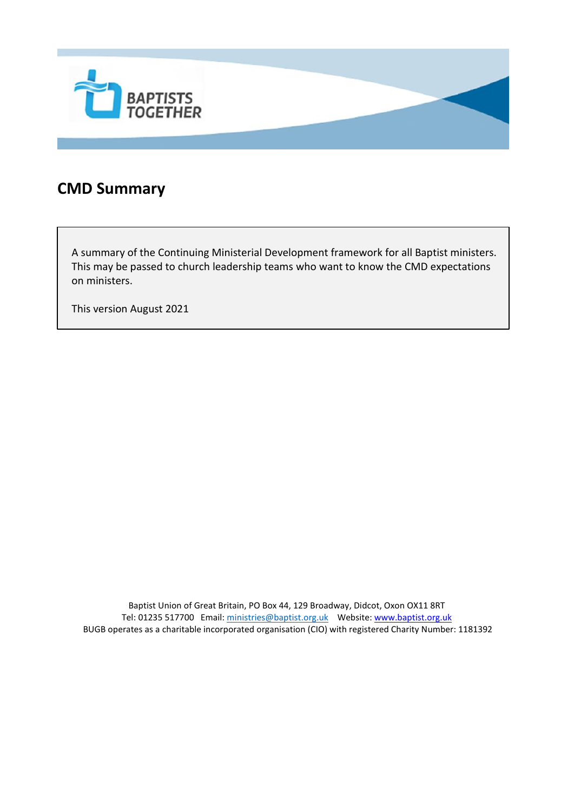

#### **CMD Summary**

A summary of the Continuing Ministerial Development framework for all Baptist ministers. This may be passed to church leadership teams who want to know the CMD expectations on ministers.

This version August 2021

Baptist Union of Great Britain, PO Box 44, 129 Broadway, Didcot, Oxon OX11 8RT Tel: 01235 517700 Email[: ministries@baptist.org.uk](mailto:ministries@baptist.org.uk) Website[: www.baptist.org.uk](http://www.baptist.org.uk/) BUGB operates as a charitable incorporated organisation (CIO) with registered Charity Number: 1181392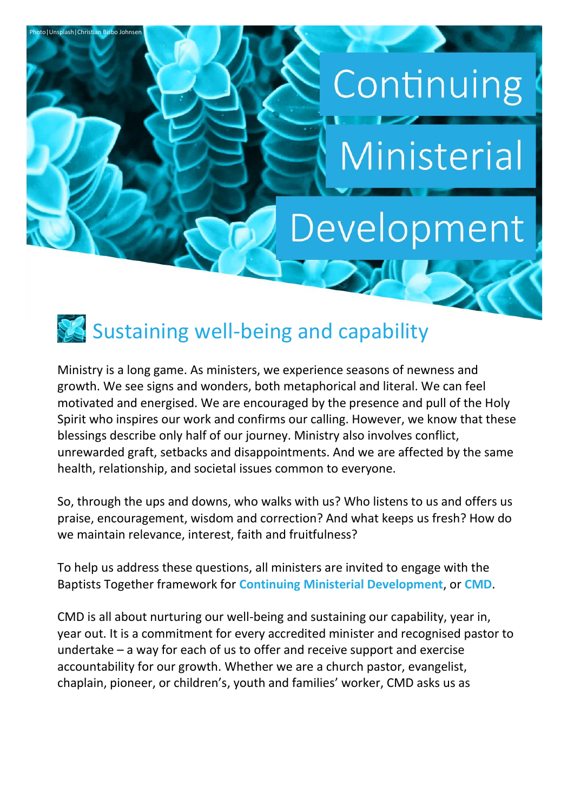# Development

Continuing

Ministerial

### Sustaining well-being and capability

oto | Unsplash | Christian Bisbo Johns

Ministry is a long game. As ministers, we experience seasons of newness and growth. We see signs and wonders, both metaphorical and literal. We can feel motivated and energised. We are encouraged by the presence and pull of the Holy Spirit who inspires our work and confirms our calling. However, we know that these blessings describe only half of our journey. Ministry also involves conflict, unrewarded graft, setbacks and disappointments. And we are affected by the same health, relationship, and societal issues common to everyone.

So, through the ups and downs, who walks with us? Who listens to us and offers us praise, encouragement, wisdom and correction? And what keeps us fresh? How do we maintain relevance, interest, faith and fruitfulness?

To help us address these questions, all ministers are invited to engage with the Baptists Together framework for **Continuing Ministerial Development**, or **CMD**.

CMD is all about nurturing our well-being and sustaining our capability, year in, year out. It is a commitment for every accredited minister and recognised pastor to undertake – a way for each of us to offer and receive support and exercise accountability for our growth. Whether we are a church pastor, evangelist, chaplain, pioneer, or children's, youth and families' worker, CMD asks us as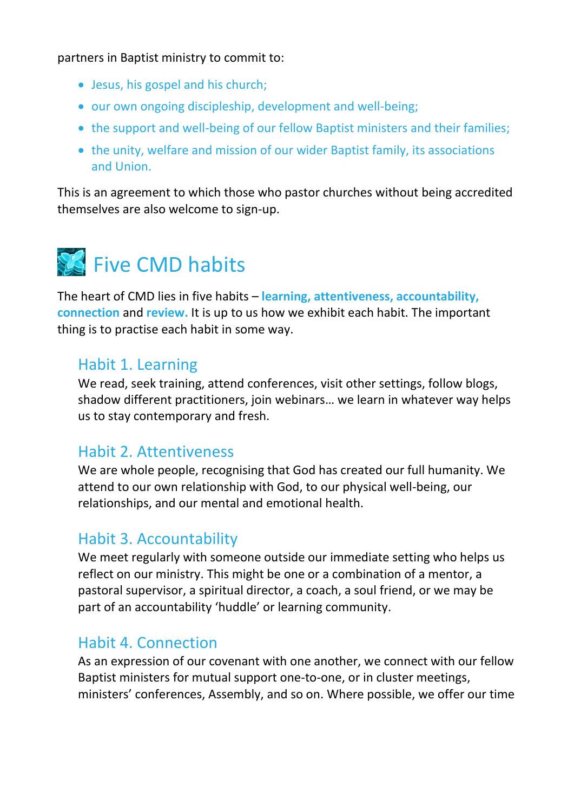partners in Baptist ministry to commit to:

- Jesus, his gospel and his church;
- our own ongoing discipleship, development and well-being;
- the support and well-being of our fellow Baptist ministers and their families;
- the unity, welfare and mission of our wider Baptist family, its associations and Union.

This is an agreement to which those who pastor churches without being accredited themselves are also welcome to sign-up.



The heart of CMD lies in five habits – **learning, attentiveness, accountability, connection** and **review.** It is up to us how we exhibit each habit. The important thing is to practise each habit in some way.

#### Habit 1. Learning

We read, seek training, attend conferences, visit other settings, follow blogs, shadow different practitioners, join webinars… we learn in whatever way helps us to stay contemporary and fresh.

#### Habit 2. Attentiveness

We are whole people, recognising that God has created our full humanity. We attend to our own relationship with God, to our physical well-being, our relationships, and our mental and emotional health.

#### Habit 3. Accountability

We meet regularly with someone outside our immediate setting who helps us reflect on our ministry. This might be one or a combination of a mentor, a pastoral supervisor, a spiritual director, a coach, a soul friend, or we may be part of an accountability 'huddle' or learning community.

#### Habit 4. Connection

As an expression of our covenant with one another, we connect with our fellow Baptist ministers for mutual support one-to-one, or in cluster meetings, ministers' conferences, Assembly, and so on. Where possible, we offer our time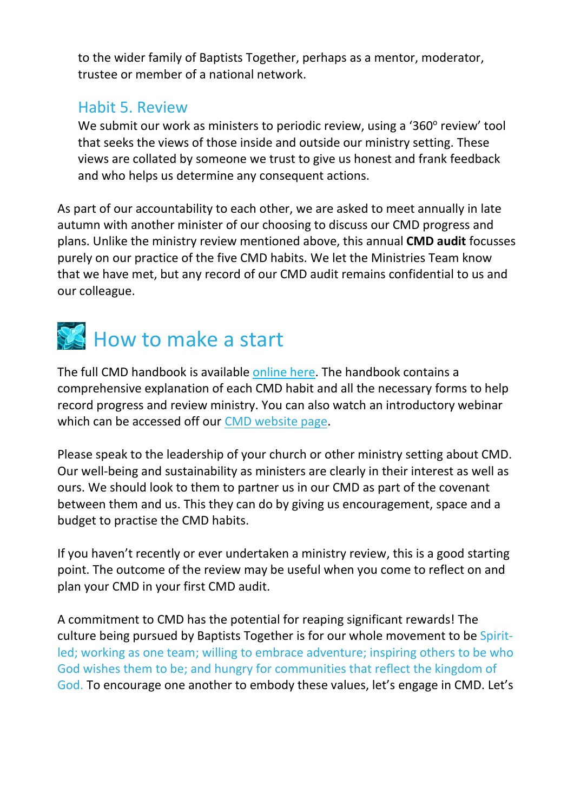to the wider family of Baptists Together, perhaps as a mentor, moderator, trustee or member of a national network.

#### Habit 5. Review

We submit our work as ministers to periodic review, using a '360° review' tool that seeks the views of those inside and outside our ministry setting. These views are collated by someone we trust to give us honest and frank feedback and who helps us determine any consequent actions.

As part of our accountability to each other, we are asked to meet annually in late autumn with another minister of our choosing to discuss our CMD progress and plans. Unlike the ministry review mentioned above, this annual **CMD audit** focusses purely on our practice of the five CMD habits. We let the Ministries Team know that we have met, but any record of our CMD audit remains confidential to us and our colleague.

## How to make a start

The full CMD handbook is available [online here.](https://www.baptist.org.uk/Articles/589058/CMD_Handbook.aspx) The handbook contains a comprehensive explanation of each CMD habit and all the necessary forms to help record progress and review ministry. You can also watch an introductory webinar which can be accessed off our [CMD website page.](https://www.baptist.org.uk/Groups/347475/Continuing_Ministerial_Development.aspx)

Please speak to the leadership of your church or other ministry setting about CMD. Our well-being and sustainability as ministers are clearly in their interest as well as ours. We should look to them to partner us in our CMD as part of the covenant between them and us. This they can do by giving us encouragement, space and a budget to practise the CMD habits.

If you haven't recently or ever undertaken a ministry review, this is a good starting point. The outcome of the review may be useful when you come to reflect on and plan your CMD in your first CMD audit.

A commitment to CMD has the potential for reaping significant rewards! The culture being pursued by Baptists Together is for our whole movement to be Spiritled; working as one team; willing to embrace adventure; inspiring others to be who God wishes them to be; and hungry for communities that reflect the kingdom of God. To encourage one another to embody these values, let's engage in CMD. Let's